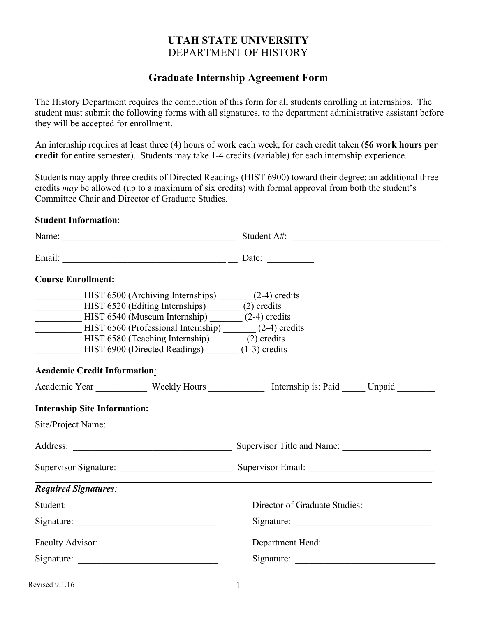## **UTAH STATE UNIVERSITY**  DEPARTMENT OF HISTORY

## **Graduate Internship Agreement Form**

The History Department requires the completion of this form for all students enrolling in internships. The student must submit the following forms with all signatures, to the department administrative assistant before they will be accepted for enrollment.

An internship requires at least three (4) hours of work each week, for each credit taken (**56 work hours per credit** for entire semester). Students may take 1-4 credits (variable) for each internship experience.

Students may apply three credits of Directed Readings (HIST 6900) toward their degree; an additional three credits *may* be allowed (up to a maximum of six credits) with formal approval from both the student's Committee Chair and Director of Graduate Studies.

#### **Student Information**:

| <b>Course Enrollment:</b>                                                                                                                                                                                                                                                                                                                       |                                                                                                 |
|-------------------------------------------------------------------------------------------------------------------------------------------------------------------------------------------------------------------------------------------------------------------------------------------------------------------------------------------------|-------------------------------------------------------------------------------------------------|
| HIST 6500 (Archiving Internships) ______ (2-4) credits<br>HIST 6520 (Editing Internships) _______ (2) credits<br>HIST 6540 (Museum Internship) _______ (2-4) credits<br>HIST 6560 (Professional Internship) _______ (2-4) credits<br>HIST 6580 (Teaching Internship) _______ (2) credits<br>HIST 6900 (Directed Readings) _______ (1-3) credits |                                                                                                 |
| <b>Academic Credit Information:</b>                                                                                                                                                                                                                                                                                                             |                                                                                                 |
|                                                                                                                                                                                                                                                                                                                                                 | Academic Year ____________ Weekly Hours _____________ Internship is: Paid ______ Unpaid _______ |
| <b>Internship Site Information:</b>                                                                                                                                                                                                                                                                                                             |                                                                                                 |
|                                                                                                                                                                                                                                                                                                                                                 |                                                                                                 |
|                                                                                                                                                                                                                                                                                                                                                 |                                                                                                 |
|                                                                                                                                                                                                                                                                                                                                                 |                                                                                                 |
| <b>Required Signatures:</b>                                                                                                                                                                                                                                                                                                                     |                                                                                                 |
| Student:                                                                                                                                                                                                                                                                                                                                        | Director of Graduate Studies:                                                                   |
|                                                                                                                                                                                                                                                                                                                                                 |                                                                                                 |
| Faculty Advisor:                                                                                                                                                                                                                                                                                                                                | Department Head:                                                                                |
|                                                                                                                                                                                                                                                                                                                                                 |                                                                                                 |